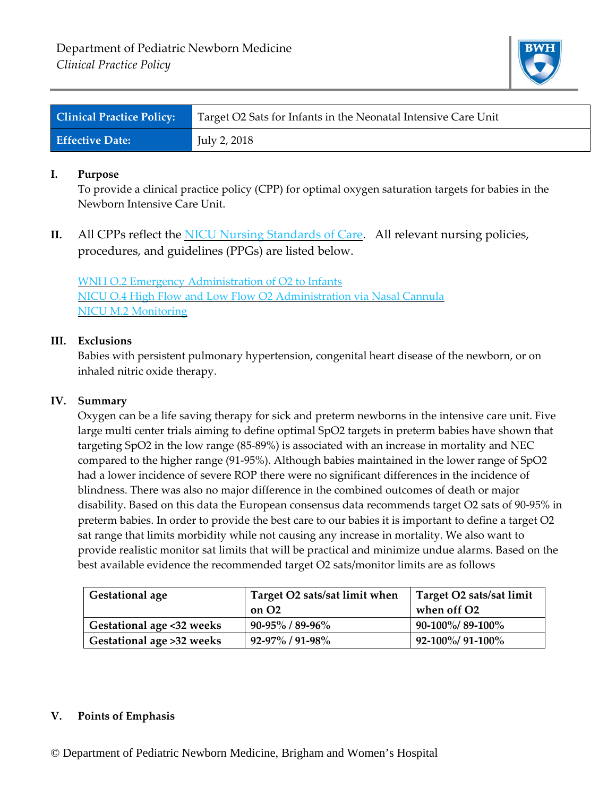

| <b>Clinical Practice Policy:</b> | Target O2 Sats for Infants in the Neonatal Intensive Care Unit |
|----------------------------------|----------------------------------------------------------------|
| <b>Effective Date:</b>           | July 2, 2018                                                   |

## **I. Purpose**

To provide a clinical practice policy (CPP) for optimal oxygen saturation targets for babies in the Newborn Intensive Care Unit.

**II.** All CPPs reflect the NICU Nursing Standards of Care. All relevant nursing policies, procedures, and guidelines (PPGs) are listed below.

WNH O.2 Emergency Administration of O2 to Infants NICU O.4 High Flow and Low Flow O2 Administration via Nasal Cannula NICU M.2 Monitoring

# **III. Exclusions**

Babies with persistent pulmonary hypertension, congenital heart disease of the newborn, or on inhaled nitric oxide therapy.

## **IV. Summary**

Oxygen can be a life saving therapy for sick and preterm newborns in the intensive care unit. Five large multi center trials aiming to define optimal SpO2 targets in preterm babies have shown that targeting SpO2 in the low range (85‐89%) is associated with an increase in mortality and NEC compared to the higher range (91‐95%). Although babies maintained in the lower range of SpO2 had a lower incidence of severe ROP there were no significant differences in the incidence of blindness. There was also no major difference in the combined outcomes of death or major disability. Based on this data the European consensus data recommends target O2 sats of 90‐95% in preterm babies. In order to provide the best care to our babies it is important to define a target O2 sat range that limits morbidity while not causing any increase in mortality. We also want to provide realistic monitor sat limits that will be practical and minimize undue alarms. Based on the best available evidence the recommended target O2 sats/monitor limits are as follows

| <b>Gestational age</b>    | Target O2 sats/sat limit when | Target O2 sats/sat limit |
|---------------------------|-------------------------------|--------------------------|
|                           | on O <sub>2</sub>             | when off O2              |
| Gestational age <32 weeks | $90 - 95\%$ / 89-96%          | $90-100\%/89-100\%$      |
| Gestational age >32 weeks | $92 - 97\% / 91 - 98\%$       | $92-100\%/91-100\%$      |

#### **V. Points of Emphasis**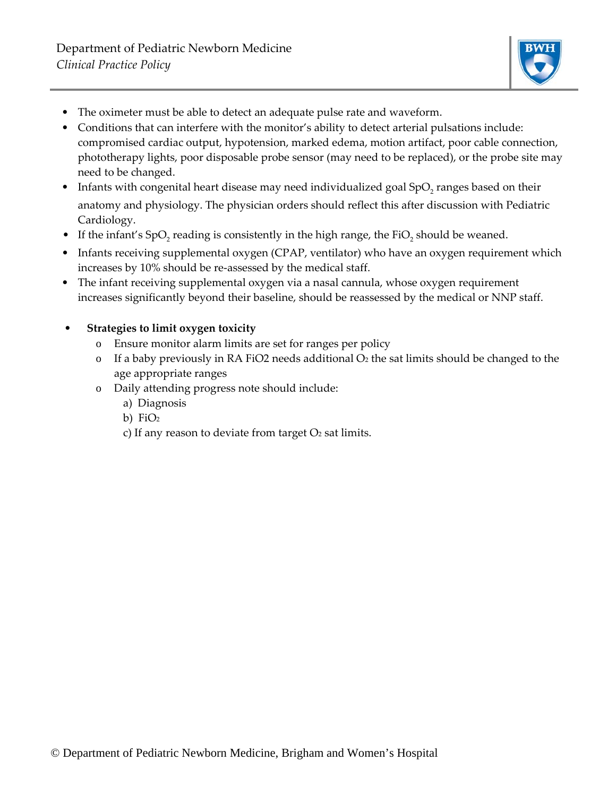

- The oximeter must be able to detect an adequate pulse rate and waveform.
- Conditions that can interfere with the monitor's ability to detect arterial pulsations include: compromised cardiac output, hypotension, marked edema, motion artifact, poor cable connection, phototherapy lights, poor disposable probe sensor (may need to be replaced), or the probe site may need to be changed.
- Infants with congenital heart disease may need individualized goal SpO<sub>2</sub> ranges based on their anatomy and physiology. The physician orders should reflect this after discussion with Pediatric Cardiology.
- If the infant's SpO, reading is consistently in the high range, the FiO<sub>2</sub> should be weaned.
- Infants receiving supplemental oxygen (CPAP, ventilator) who have an oxygen requirement which increases by 10% should be re‐assessed by the medical staff.
- The infant receiving supplemental oxygen via a nasal cannula, whose oxygen requirement increases significantly beyond their baseline, should be reassessed by the medical or NNP staff.

# • **Strategies to limit oxygen toxicity**

- o Ensure monitor alarm limits are set for ranges per policy
- o If a baby previously in RA FiO2 needs additional  $O<sub>2</sub>$  the sat limits should be changed to the age appropriate ranges
- o Daily attending progress note should include:
	- a) Diagnosis
	- b)  $FiO<sub>2</sub>$
	- c) If any reason to deviate from target  $O<sub>2</sub>$  sat limits.